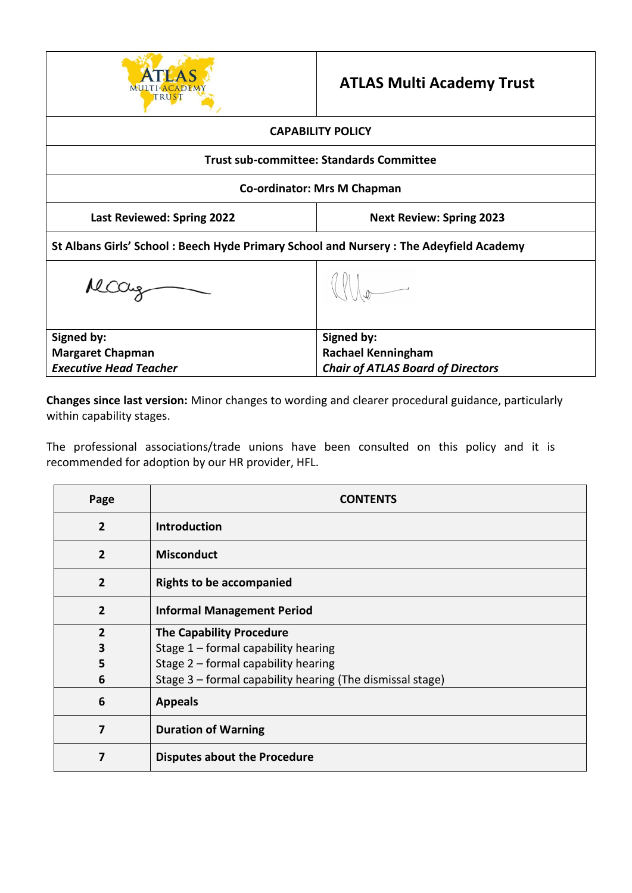

# **ATLAS Multi Academy Trust**

| <b>CAPABILITY POLICY</b>                                                              |                                                 |  |  |
|---------------------------------------------------------------------------------------|-------------------------------------------------|--|--|
|                                                                                       | <b>Trust sub-committee: Standards Committee</b> |  |  |
| <b>Co-ordinator: Mrs M Chapman</b>                                                    |                                                 |  |  |
| <b>Last Reviewed: Spring 2022</b>                                                     | <b>Next Review: Spring 2023</b>                 |  |  |
| St Albans Girls' School: Beech Hyde Primary School and Nursery: The Adeyfield Academy |                                                 |  |  |
| $MCO_{4}$                                                                             |                                                 |  |  |
| Signed by:                                                                            | Signed by:                                      |  |  |
| <b>Margaret Chapman</b>                                                               | <b>Rachael Kenningham</b>                       |  |  |
| <b>Executive Head Teacher</b>                                                         | <b>Chair of ATLAS Board of Directors</b>        |  |  |

**Changes since last version:** Minor changes to wording and clearer procedural guidance, particularly within capability stages.

The professional associations/trade unions have been consulted on this policy and it is recommended for adoption by our HR provider, HFL.

| Page           | <b>CONTENTS</b>                                           |
|----------------|-----------------------------------------------------------|
| $\overline{2}$ | <b>Introduction</b>                                       |
| $\overline{2}$ | <b>Misconduct</b>                                         |
| $\overline{2}$ | <b>Rights to be accompanied</b>                           |
| $\overline{2}$ | <b>Informal Management Period</b>                         |
| $\overline{2}$ | <b>The Capability Procedure</b>                           |
| 3              | Stage $1$ – formal capability hearing                     |
| 5              | Stage 2 - formal capability hearing                       |
| 6              | Stage 3 - formal capability hearing (The dismissal stage) |
| 6              | <b>Appeals</b>                                            |
| 7              | <b>Duration of Warning</b>                                |
| 7              | <b>Disputes about the Procedure</b>                       |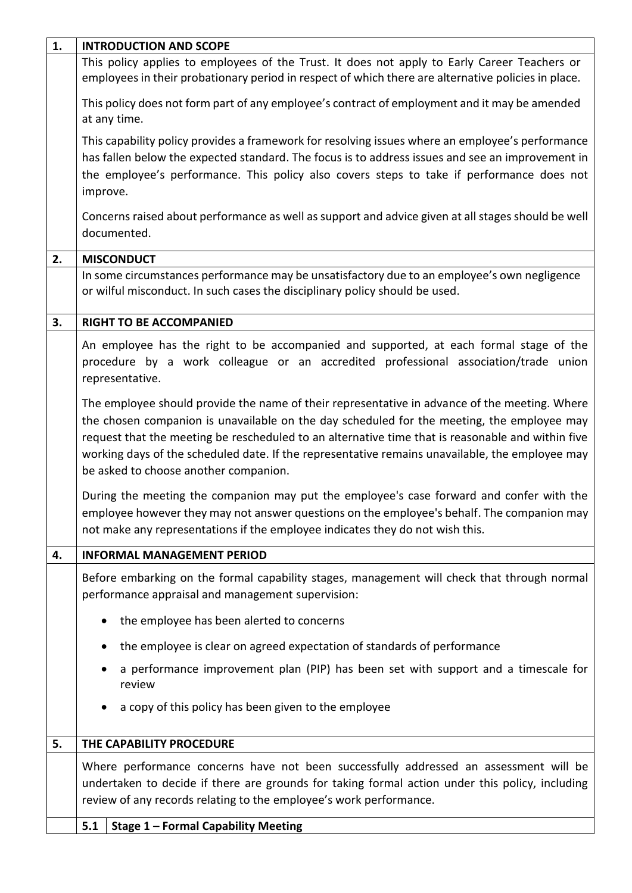| 1. | <b>INTRODUCTION AND SCOPE</b>                                                                                                                                                                                                                                                                                                                                                                                                                |
|----|----------------------------------------------------------------------------------------------------------------------------------------------------------------------------------------------------------------------------------------------------------------------------------------------------------------------------------------------------------------------------------------------------------------------------------------------|
|    | This policy applies to employees of the Trust. It does not apply to Early Career Teachers or<br>employees in their probationary period in respect of which there are alternative policies in place.                                                                                                                                                                                                                                          |
|    | This policy does not form part of any employee's contract of employment and it may be amended<br>at any time.                                                                                                                                                                                                                                                                                                                                |
|    | This capability policy provides a framework for resolving issues where an employee's performance<br>has fallen below the expected standard. The focus is to address issues and see an improvement in<br>the employee's performance. This policy also covers steps to take if performance does not<br>improve.                                                                                                                                |
|    | Concerns raised about performance as well as support and advice given at all stages should be well<br>documented.                                                                                                                                                                                                                                                                                                                            |
| 2. | <b>MISCONDUCT</b>                                                                                                                                                                                                                                                                                                                                                                                                                            |
|    | In some circumstances performance may be unsatisfactory due to an employee's own negligence<br>or wilful misconduct. In such cases the disciplinary policy should be used.                                                                                                                                                                                                                                                                   |
| 3. | <b>RIGHT TO BE ACCOMPANIED</b>                                                                                                                                                                                                                                                                                                                                                                                                               |
|    | An employee has the right to be accompanied and supported, at each formal stage of the<br>procedure by a work colleague or an accredited professional association/trade union<br>representative.                                                                                                                                                                                                                                             |
|    | The employee should provide the name of their representative in advance of the meeting. Where<br>the chosen companion is unavailable on the day scheduled for the meeting, the employee may<br>request that the meeting be rescheduled to an alternative time that is reasonable and within five<br>working days of the scheduled date. If the representative remains unavailable, the employee may<br>be asked to choose another companion. |
|    | During the meeting the companion may put the employee's case forward and confer with the<br>employee however they may not answer questions on the employee's behalf. The companion may<br>not make any representations if the employee indicates they do not wish this.                                                                                                                                                                      |
| 4. | <b>INFORMAL MANAGEMENT PERIOD</b>                                                                                                                                                                                                                                                                                                                                                                                                            |
|    | Before embarking on the formal capability stages, management will check that through normal<br>performance appraisal and management supervision:                                                                                                                                                                                                                                                                                             |
|    | the employee has been alerted to concerns                                                                                                                                                                                                                                                                                                                                                                                                    |
|    | the employee is clear on agreed expectation of standards of performance                                                                                                                                                                                                                                                                                                                                                                      |
|    | a performance improvement plan (PIP) has been set with support and a timescale for<br>review                                                                                                                                                                                                                                                                                                                                                 |
|    | a copy of this policy has been given to the employee                                                                                                                                                                                                                                                                                                                                                                                         |
| 5. | THE CAPABILITY PROCEDURE                                                                                                                                                                                                                                                                                                                                                                                                                     |
|    | Where performance concerns have not been successfully addressed an assessment will be<br>undertaken to decide if there are grounds for taking formal action under this policy, including<br>review of any records relating to the employee's work performance.                                                                                                                                                                               |
|    | <b>Stage 1 - Formal Capability Meeting</b><br>5.1                                                                                                                                                                                                                                                                                                                                                                                            |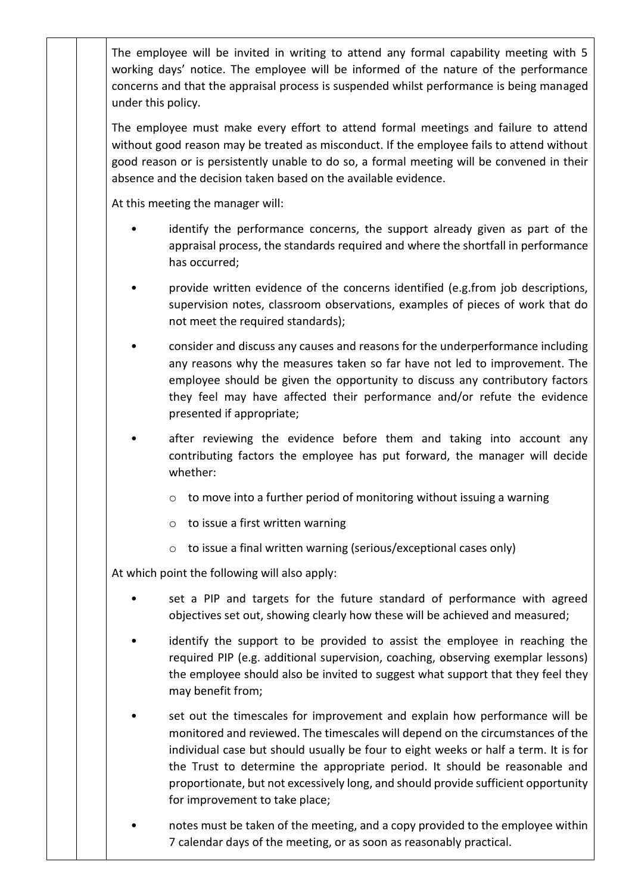The employee will be invited in writing to attend any formal capability meeting with 5 working days' notice. The employee will be informed of the nature of the performance concerns and that the appraisal process is suspended whilst performance is being managed under this policy.

The employee must make every effort to attend formal meetings and failure to attend without good reason may be treated as misconduct. If the employee fails to attend without good reason or is persistently unable to do so, a formal meeting will be convened in their absence and the decision taken based on the available evidence.

At this meeting the manager will:

- identify the performance concerns, the support already given as part of the appraisal process, the standards required and where the shortfall in performance has occurred;
- provide written evidence of the concerns identified (e.g.from job descriptions, supervision notes, classroom observations, examples of pieces of work that do not meet the required standards);
- consider and discuss any causes and reasons for the underperformance including any reasons why the measures taken so far have not led to improvement. The employee should be given the opportunity to discuss any contributory factors they feel may have affected their performance and/or refute the evidence presented if appropriate;
- after reviewing the evidence before them and taking into account any contributing factors the employee has put forward, the manager will decide whether:
	- o to move into a further period of monitoring without issuing a warning
	- $\circ$  to issue a first written warning
	- o to issue a final written warning (serious/exceptional cases only)

At which point the following will also apply:

- set a PIP and targets for the future standard of performance with agreed objectives set out, showing clearly how these will be achieved and measured;
- identify the support to be provided to assist the employee in reaching the required PIP (e.g. additional supervision, coaching, observing exemplar lessons) the employee should also be invited to suggest what support that they feel they may benefit from;
- set out the timescales for improvement and explain how performance will be monitored and reviewed. The timescales will depend on the circumstances of the individual case but should usually be four to eight weeks or half a term. It is for the Trust to determine the appropriate period. It should be reasonable and proportionate, but not excessively long, and should provide sufficient opportunity for improvement to take place;
- notes must be taken of the meeting, and a copy provided to the employee within 7 calendar days of the meeting, or as soon as reasonably practical.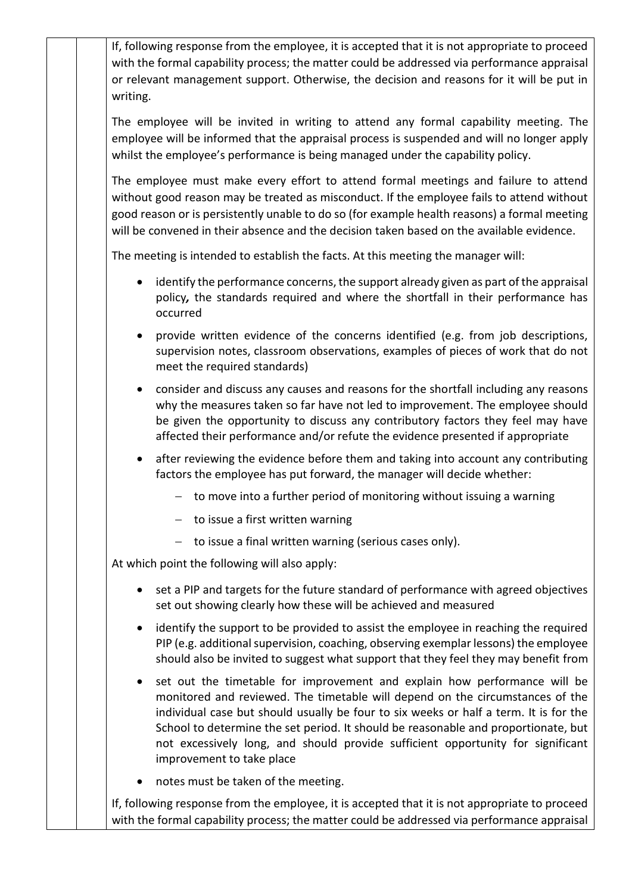If, following response from the employee, it is accepted that it is not appropriate to proceed with the formal capability process; the matter could be addressed via performance appraisal or relevant management support. Otherwise, the decision and reasons for it will be put in writing.

The employee will be invited in writing to attend any formal capability meeting. The employee will be informed that the appraisal process is suspended and will no longer apply whilst the employee's performance is being managed under the capability policy.

The employee must make every effort to attend formal meetings and failure to attend without good reason may be treated as misconduct. If the employee fails to attend without good reason or is persistently unable to do so (for example health reasons) a formal meeting will be convened in their absence and the decision taken based on the available evidence.

The meeting is intended to establish the facts. At this meeting the manager will:

- identify the performance concerns, the support already given as part of the appraisal policy*,* the standards required and where the shortfall in their performance has occurred
- provide written evidence of the concerns identified (e.g. from job descriptions, supervision notes, classroom observations, examples of pieces of work that do not meet the required standards)
- consider and discuss any causes and reasons for the shortfall including any reasons why the measures taken so far have not led to improvement. The employee should be given the opportunity to discuss any contributory factors they feel may have affected their performance and/or refute the evidence presented if appropriate
- after reviewing the evidence before them and taking into account any contributing factors the employee has put forward, the manager will decide whether:
	- $-$  to move into a further period of monitoring without issuing a warning
	- $-$  to issue a first written warning
	- $-$  to issue a final written warning (serious cases only).

At which point the following will also apply:

- set a PIP and targets for the future standard of performance with agreed objectives set out showing clearly how these will be achieved and measured
- identify the support to be provided to assist the employee in reaching the required PIP (e.g. additional supervision, coaching, observing exemplar lessons) the employee should also be invited to suggest what support that they feel they may benefit from
- set out the timetable for improvement and explain how performance will be monitored and reviewed. The timetable will depend on the circumstances of the individual case but should usually be four to six weeks or half a term. It is for the School to determine the set period. It should be reasonable and proportionate, but not excessively long, and should provide sufficient opportunity for significant improvement to take place
- notes must be taken of the meeting.

If, following response from the employee, it is accepted that it is not appropriate to proceed with the formal capability process; the matter could be addressed via performance appraisal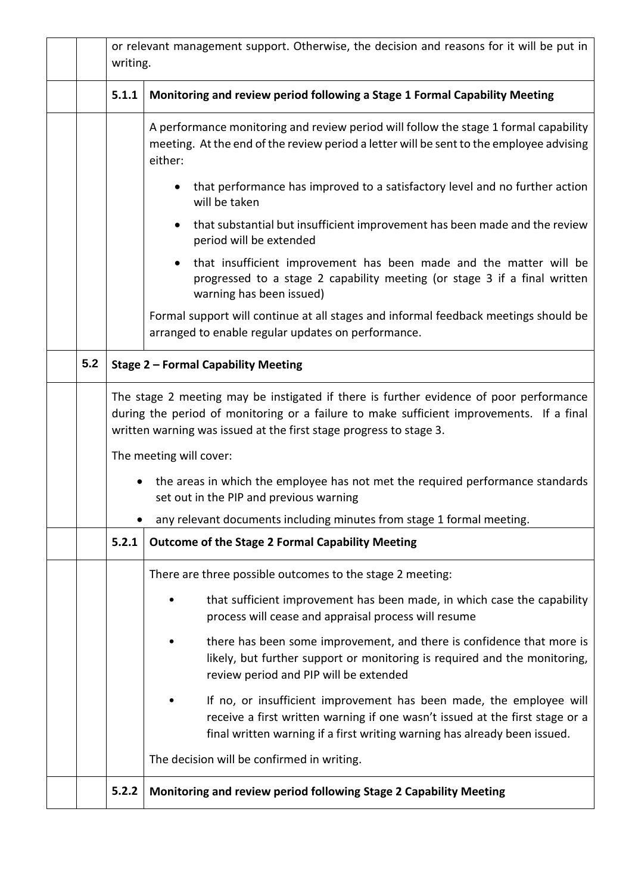|                          |                                                                                                                                                                                            | or relevant management support. Otherwise, the decision and reasons for it will be put in<br>writing.                                                                                                                                                    |  |  |
|--------------------------|--------------------------------------------------------------------------------------------------------------------------------------------------------------------------------------------|----------------------------------------------------------------------------------------------------------------------------------------------------------------------------------------------------------------------------------------------------------|--|--|
|                          | 5.1.1                                                                                                                                                                                      | Monitoring and review period following a Stage 1 Formal Capability Meeting                                                                                                                                                                               |  |  |
|                          | A performance monitoring and review period will follow the stage 1 formal capability<br>meeting. At the end of the review period a letter will be sent to the employee advising<br>either: |                                                                                                                                                                                                                                                          |  |  |
|                          |                                                                                                                                                                                            | that performance has improved to a satisfactory level and no further action<br>$\bullet$<br>will be taken                                                                                                                                                |  |  |
|                          |                                                                                                                                                                                            | that substantial but insufficient improvement has been made and the review<br>$\bullet$<br>period will be extended                                                                                                                                       |  |  |
| warning has been issued) |                                                                                                                                                                                            | that insufficient improvement has been made and the matter will be<br>progressed to a stage 2 capability meeting (or stage 3 if a final written                                                                                                          |  |  |
|                          |                                                                                                                                                                                            | Formal support will continue at all stages and informal feedback meetings should be<br>arranged to enable regular updates on performance.                                                                                                                |  |  |
| 5.2                      |                                                                                                                                                                                            | Stage 2 - Formal Capability Meeting                                                                                                                                                                                                                      |  |  |
|                          |                                                                                                                                                                                            | The stage 2 meeting may be instigated if there is further evidence of poor performance<br>during the period of monitoring or a failure to make sufficient improvements. If a final<br>written warning was issued at the first stage progress to stage 3. |  |  |
|                          | The meeting will cover:                                                                                                                                                                    |                                                                                                                                                                                                                                                          |  |  |
|                          | • the areas in which the employee has not met the required performance standards<br>set out in the PIP and previous warning                                                                |                                                                                                                                                                                                                                                          |  |  |
|                          | any relevant documents including minutes from stage 1 formal meeting.                                                                                                                      |                                                                                                                                                                                                                                                          |  |  |
|                          | 5.2.1                                                                                                                                                                                      | <b>Outcome of the Stage 2 Formal Capability Meeting</b>                                                                                                                                                                                                  |  |  |
|                          |                                                                                                                                                                                            | There are three possible outcomes to the stage 2 meeting:                                                                                                                                                                                                |  |  |
|                          |                                                                                                                                                                                            | that sufficient improvement has been made, in which case the capability<br>process will cease and appraisal process will resume                                                                                                                          |  |  |
|                          |                                                                                                                                                                                            | there has been some improvement, and there is confidence that more is<br>likely, but further support or monitoring is required and the monitoring,<br>review period and PIP will be extended                                                             |  |  |
|                          |                                                                                                                                                                                            | If no, or insufficient improvement has been made, the employee will<br>receive a first written warning if one wasn't issued at the first stage or a<br>final written warning if a first writing warning has already been issued.                         |  |  |
|                          |                                                                                                                                                                                            | The decision will be confirmed in writing.                                                                                                                                                                                                               |  |  |
|                          | 5.2.2                                                                                                                                                                                      | Monitoring and review period following Stage 2 Capability Meeting                                                                                                                                                                                        |  |  |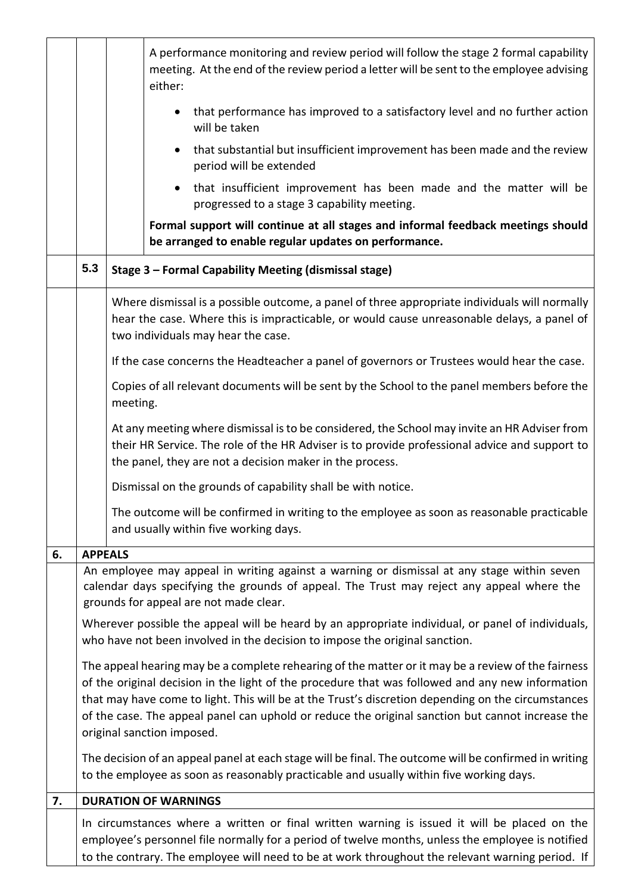|    |                                                                                                                                                                                  | A performance monitoring and review period will follow the stage 2 formal capability<br>meeting. At the end of the review period a letter will be sent to the employee advising<br>either:                                                                                                                                                                                                                                                     |  |
|----|----------------------------------------------------------------------------------------------------------------------------------------------------------------------------------|------------------------------------------------------------------------------------------------------------------------------------------------------------------------------------------------------------------------------------------------------------------------------------------------------------------------------------------------------------------------------------------------------------------------------------------------|--|
|    |                                                                                                                                                                                  | that performance has improved to a satisfactory level and no further action<br>$\bullet$<br>will be taken                                                                                                                                                                                                                                                                                                                                      |  |
|    |                                                                                                                                                                                  | that substantial but insufficient improvement has been made and the review<br>period will be extended                                                                                                                                                                                                                                                                                                                                          |  |
|    |                                                                                                                                                                                  | that insufficient improvement has been made and the matter will be<br>progressed to a stage 3 capability meeting.                                                                                                                                                                                                                                                                                                                              |  |
|    |                                                                                                                                                                                  | Formal support will continue at all stages and informal feedback meetings should<br>be arranged to enable regular updates on performance.                                                                                                                                                                                                                                                                                                      |  |
|    | 5.3                                                                                                                                                                              | Stage 3 - Formal Capability Meeting (dismissal stage)                                                                                                                                                                                                                                                                                                                                                                                          |  |
|    |                                                                                                                                                                                  | Where dismissal is a possible outcome, a panel of three appropriate individuals will normally<br>hear the case. Where this is impracticable, or would cause unreasonable delays, a panel of<br>two individuals may hear the case.                                                                                                                                                                                                              |  |
|    |                                                                                                                                                                                  | If the case concerns the Headteacher a panel of governors or Trustees would hear the case.                                                                                                                                                                                                                                                                                                                                                     |  |
|    |                                                                                                                                                                                  | Copies of all relevant documents will be sent by the School to the panel members before the<br>meeting.                                                                                                                                                                                                                                                                                                                                        |  |
|    |                                                                                                                                                                                  | At any meeting where dismissal is to be considered, the School may invite an HR Adviser from<br>their HR Service. The role of the HR Adviser is to provide professional advice and support to<br>the panel, they are not a decision maker in the process.                                                                                                                                                                                      |  |
|    |                                                                                                                                                                                  | Dismissal on the grounds of capability shall be with notice.                                                                                                                                                                                                                                                                                                                                                                                   |  |
|    |                                                                                                                                                                                  | The outcome will be confirmed in writing to the employee as soon as reasonable practicable<br>and usually within five working days.                                                                                                                                                                                                                                                                                                            |  |
| 6. |                                                                                                                                                                                  | <b>APPEALS</b>                                                                                                                                                                                                                                                                                                                                                                                                                                 |  |
|    |                                                                                                                                                                                  | An employee may appeal in writing against a warning or dismissal at any stage within seven<br>calendar days specifying the grounds of appeal. The Trust may reject any appeal where the<br>grounds for appeal are not made clear.                                                                                                                                                                                                              |  |
|    | Wherever possible the appeal will be heard by an appropriate individual, or panel of individuals,<br>who have not been involved in the decision to impose the original sanction. |                                                                                                                                                                                                                                                                                                                                                                                                                                                |  |
|    |                                                                                                                                                                                  | The appeal hearing may be a complete rehearing of the matter or it may be a review of the fairness<br>of the original decision in the light of the procedure that was followed and any new information<br>that may have come to light. This will be at the Trust's discretion depending on the circumstances<br>of the case. The appeal panel can uphold or reduce the original sanction but cannot increase the<br>original sanction imposed. |  |
|    |                                                                                                                                                                                  | The decision of an appeal panel at each stage will be final. The outcome will be confirmed in writing<br>to the employee as soon as reasonably practicable and usually within five working days.                                                                                                                                                                                                                                               |  |
| 7. |                                                                                                                                                                                  | <b>DURATION OF WARNINGS</b>                                                                                                                                                                                                                                                                                                                                                                                                                    |  |
|    |                                                                                                                                                                                  | In circumstances where a written or final written warning is issued it will be placed on the<br>employee's personnel file normally for a period of twelve months, unless the employee is notified<br>to the contrary. The employee will need to be at work throughout the relevant warning period. If                                                                                                                                          |  |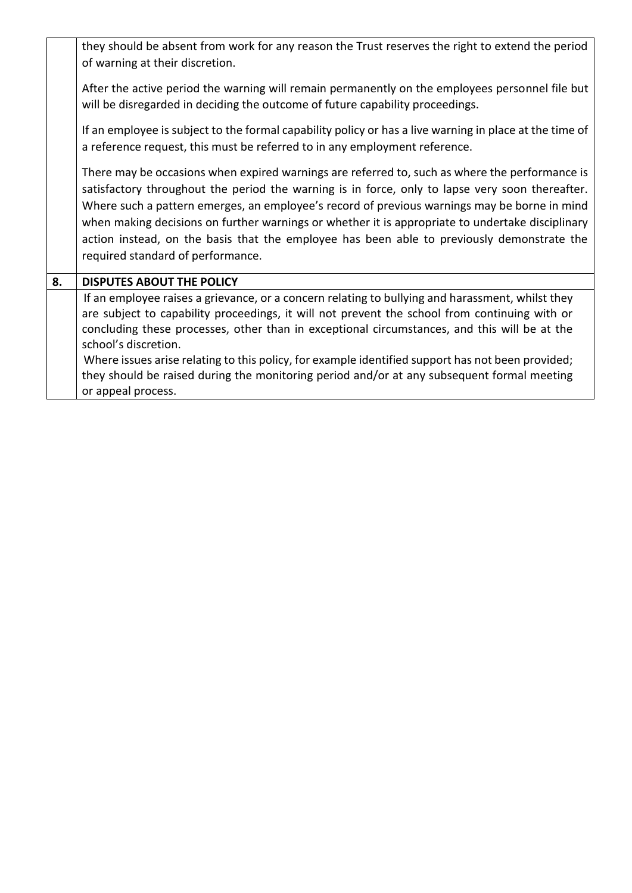|    | they should be absent from work for any reason the Trust reserves the right to extend the period<br>of warning at their discretion.                                                                                                                                                                                                                                                                                                                                                                                                                |
|----|----------------------------------------------------------------------------------------------------------------------------------------------------------------------------------------------------------------------------------------------------------------------------------------------------------------------------------------------------------------------------------------------------------------------------------------------------------------------------------------------------------------------------------------------------|
|    | After the active period the warning will remain permanently on the employees personnel file but<br>will be disregarded in deciding the outcome of future capability proceedings.                                                                                                                                                                                                                                                                                                                                                                   |
|    | If an employee is subject to the formal capability policy or has a live warning in place at the time of<br>a reference request, this must be referred to in any employment reference.                                                                                                                                                                                                                                                                                                                                                              |
|    | There may be occasions when expired warnings are referred to, such as where the performance is<br>satisfactory throughout the period the warning is in force, only to lapse very soon thereafter.<br>Where such a pattern emerges, an employee's record of previous warnings may be borne in mind<br>when making decisions on further warnings or whether it is appropriate to undertake disciplinary<br>action instead, on the basis that the employee has been able to previously demonstrate the<br>required standard of performance.           |
| 8. | <b>DISPUTES ABOUT THE POLICY</b>                                                                                                                                                                                                                                                                                                                                                                                                                                                                                                                   |
|    | If an employee raises a grievance, or a concern relating to bullying and harassment, whilst they<br>are subject to capability proceedings, it will not prevent the school from continuing with or<br>concluding these processes, other than in exceptional circumstances, and this will be at the<br>school's discretion.<br>Where issues arise relating to this policy, for example identified support has not been provided;<br>they should be raised during the monitoring period and/or at any subsequent formal meeting<br>or appeal process. |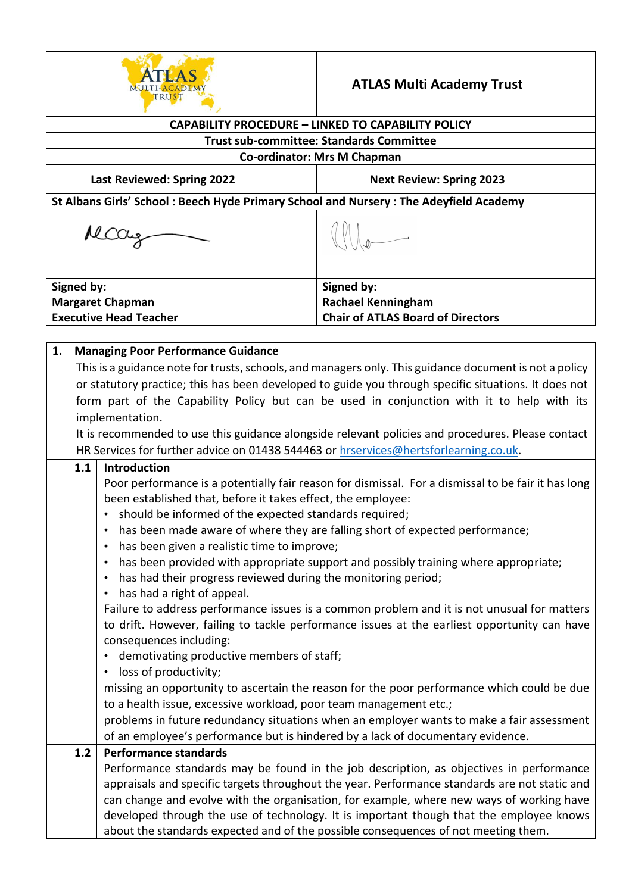

## **ATLAS Multi Academy Trust**

| <b>CAPABILITY PROCEDURE - LINKED TO CAPABILITY POLICY</b> |                                                                      |                                                                                                                                                                                                                                                                                                                                                                                                                                                                                                                                                         |                                                                                                                                                                                                                                                                                                                                                                                                                                                                                                                                                                                                                                                                      |  |  |
|-----------------------------------------------------------|----------------------------------------------------------------------|---------------------------------------------------------------------------------------------------------------------------------------------------------------------------------------------------------------------------------------------------------------------------------------------------------------------------------------------------------------------------------------------------------------------------------------------------------------------------------------------------------------------------------------------------------|----------------------------------------------------------------------------------------------------------------------------------------------------------------------------------------------------------------------------------------------------------------------------------------------------------------------------------------------------------------------------------------------------------------------------------------------------------------------------------------------------------------------------------------------------------------------------------------------------------------------------------------------------------------------|--|--|
| <b>Trust sub-committee: Standards Committee</b>           |                                                                      |                                                                                                                                                                                                                                                                                                                                                                                                                                                                                                                                                         |                                                                                                                                                                                                                                                                                                                                                                                                                                                                                                                                                                                                                                                                      |  |  |
|                                                           | <b>Co-ordinator: Mrs M Chapman</b>                                   |                                                                                                                                                                                                                                                                                                                                                                                                                                                                                                                                                         |                                                                                                                                                                                                                                                                                                                                                                                                                                                                                                                                                                                                                                                                      |  |  |
|                                                           | <b>Next Review: Spring 2023</b><br><b>Last Reviewed: Spring 2022</b> |                                                                                                                                                                                                                                                                                                                                                                                                                                                                                                                                                         |                                                                                                                                                                                                                                                                                                                                                                                                                                                                                                                                                                                                                                                                      |  |  |
|                                                           |                                                                      | St Albans Girls' School: Beech Hyde Primary School and Nursery: The Adeyfield Academy                                                                                                                                                                                                                                                                                                                                                                                                                                                                   |                                                                                                                                                                                                                                                                                                                                                                                                                                                                                                                                                                                                                                                                      |  |  |
|                                                           |                                                                      |                                                                                                                                                                                                                                                                                                                                                                                                                                                                                                                                                         |                                                                                                                                                                                                                                                                                                                                                                                                                                                                                                                                                                                                                                                                      |  |  |
|                                                           | Signed by:                                                           |                                                                                                                                                                                                                                                                                                                                                                                                                                                                                                                                                         | Signed by:                                                                                                                                                                                                                                                                                                                                                                                                                                                                                                                                                                                                                                                           |  |  |
|                                                           |                                                                      | <b>Margaret Chapman</b>                                                                                                                                                                                                                                                                                                                                                                                                                                                                                                                                 | <b>Rachael Kenningham</b>                                                                                                                                                                                                                                                                                                                                                                                                                                                                                                                                                                                                                                            |  |  |
|                                                           |                                                                      | <b>Executive Head Teacher</b>                                                                                                                                                                                                                                                                                                                                                                                                                                                                                                                           | <b>Chair of ATLAS Board of Directors</b>                                                                                                                                                                                                                                                                                                                                                                                                                                                                                                                                                                                                                             |  |  |
|                                                           |                                                                      |                                                                                                                                                                                                                                                                                                                                                                                                                                                                                                                                                         |                                                                                                                                                                                                                                                                                                                                                                                                                                                                                                                                                                                                                                                                      |  |  |
| 1.                                                        |                                                                      | <b>Managing Poor Performance Guidance</b><br>This is a guidance note for trusts, schools, and managers only. This guidance document is not a policy<br>or statutory practice; this has been developed to guide you through specific situations. It does not<br>form part of the Capability Policy but can be used in conjunction with it to help with its<br>implementation.<br>It is recommended to use this guidance alongside relevant policies and procedures. Please contact                                                                       |                                                                                                                                                                                                                                                                                                                                                                                                                                                                                                                                                                                                                                                                      |  |  |
|                                                           | 1.1                                                                  | HR Services for further advice on 01438 544463 or hrservices@hertsforlearning.co.uk.<br>Introduction                                                                                                                                                                                                                                                                                                                                                                                                                                                    |                                                                                                                                                                                                                                                                                                                                                                                                                                                                                                                                                                                                                                                                      |  |  |
|                                                           |                                                                      | been established that, before it takes effect, the employee:<br>should be informed of the expected standards required;<br>$\bullet$<br>has been given a realistic time to improve;<br>has had their progress reviewed during the monitoring period;<br>has had a right of appeal.<br>$\bullet$<br>consequences including:<br>demotivating productive members of staff;<br>loss of productivity;<br>to a health issue, excessive workload, poor team management etc.;<br>of an employee's performance but is hindered by a lack of documentary evidence. | Poor performance is a potentially fair reason for dismissal. For a dismissal to be fair it has long<br>has been made aware of where they are falling short of expected performance;<br>has been provided with appropriate support and possibly training where appropriate;<br>Failure to address performance issues is a common problem and it is not unusual for matters<br>to drift. However, failing to tackle performance issues at the earliest opportunity can have<br>missing an opportunity to ascertain the reason for the poor performance which could be due<br>problems in future redundancy situations when an employer wants to make a fair assessment |  |  |
|                                                           | 1.2                                                                  | <b>Performance standards</b>                                                                                                                                                                                                                                                                                                                                                                                                                                                                                                                            | Performance standards may be found in the job description, as objectives in performance<br>appraisals and specific targets throughout the year. Performance standards are not static and<br>can change and evolve with the organisation, for example, where new ways of working have<br>developed through the use of technology. It is important though that the employee knows<br>about the standards expected and of the possible consequences of not meeting them.                                                                                                                                                                                                |  |  |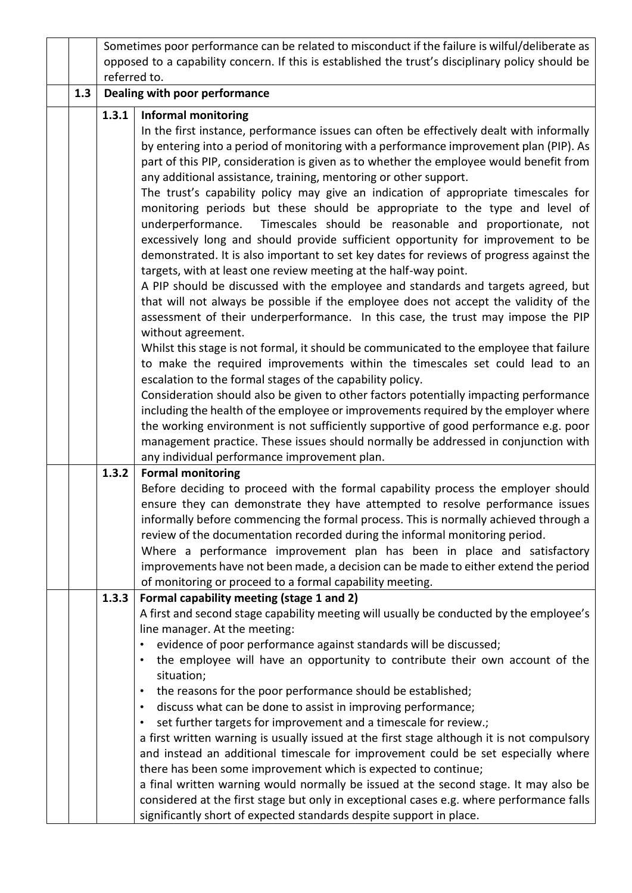|     | Sometimes poor performance can be related to misconduct if the failure is wilful/deliberate as    |                                                                                                                                                             |  |
|-----|---------------------------------------------------------------------------------------------------|-------------------------------------------------------------------------------------------------------------------------------------------------------------|--|
|     | opposed to a capability concern. If this is established the trust's disciplinary policy should be |                                                                                                                                                             |  |
|     | referred to.                                                                                      |                                                                                                                                                             |  |
| 1.3 | Dealing with poor performance                                                                     |                                                                                                                                                             |  |
|     | 1.3.1<br><b>Informal monitoring</b>                                                               |                                                                                                                                                             |  |
|     |                                                                                                   | In the first instance, performance issues can often be effectively dealt with informally                                                                    |  |
|     |                                                                                                   | by entering into a period of monitoring with a performance improvement plan (PIP). As                                                                       |  |
|     |                                                                                                   | part of this PIP, consideration is given as to whether the employee would benefit from                                                                      |  |
|     |                                                                                                   | any additional assistance, training, mentoring or other support.                                                                                            |  |
|     |                                                                                                   | The trust's capability policy may give an indication of appropriate timescales for                                                                          |  |
|     |                                                                                                   | monitoring periods but these should be appropriate to the type and level of                                                                                 |  |
|     |                                                                                                   | Timescales should be reasonable and proportionate, not<br>underperformance.                                                                                 |  |
|     |                                                                                                   | excessively long and should provide sufficient opportunity for improvement to be                                                                            |  |
|     |                                                                                                   | demonstrated. It is also important to set key dates for reviews of progress against the<br>targets, with at least one review meeting at the half-way point. |  |
|     |                                                                                                   | A PIP should be discussed with the employee and standards and targets agreed, but                                                                           |  |
|     |                                                                                                   | that will not always be possible if the employee does not accept the validity of the                                                                        |  |
|     |                                                                                                   | assessment of their underperformance. In this case, the trust may impose the PIP                                                                            |  |
|     |                                                                                                   | without agreement.                                                                                                                                          |  |
|     |                                                                                                   | Whilst this stage is not formal, it should be communicated to the employee that failure                                                                     |  |
|     |                                                                                                   | to make the required improvements within the timescales set could lead to an                                                                                |  |
|     |                                                                                                   | escalation to the formal stages of the capability policy.                                                                                                   |  |
|     |                                                                                                   | Consideration should also be given to other factors potentially impacting performance                                                                       |  |
|     |                                                                                                   | including the health of the employee or improvements required by the employer where                                                                         |  |
|     |                                                                                                   | the working environment is not sufficiently supportive of good performance e.g. poor                                                                        |  |
|     |                                                                                                   | management practice. These issues should normally be addressed in conjunction with                                                                          |  |
|     |                                                                                                   | any individual performance improvement plan.                                                                                                                |  |
|     | 1.3.2                                                                                             | <b>Formal monitoring</b>                                                                                                                                    |  |
|     |                                                                                                   | Before deciding to proceed with the formal capability process the employer should                                                                           |  |
|     |                                                                                                   | ensure they can demonstrate they have attempted to resolve performance issues                                                                               |  |
|     |                                                                                                   | informally before commencing the formal process. This is normally achieved through a                                                                        |  |
|     |                                                                                                   | review of the documentation recorded during the informal monitoring period.                                                                                 |  |
|     |                                                                                                   | Where a performance improvement plan has been in place and satisfactory                                                                                     |  |
|     |                                                                                                   | improvements have not been made, a decision can be made to either extend the period<br>of monitoring or proceed to a formal capability meeting.             |  |
|     | 1.3.3                                                                                             | Formal capability meeting (stage 1 and 2)                                                                                                                   |  |
|     |                                                                                                   | A first and second stage capability meeting will usually be conducted by the employee's                                                                     |  |
|     |                                                                                                   | line manager. At the meeting:                                                                                                                               |  |
|     |                                                                                                   | evidence of poor performance against standards will be discussed;<br>٠                                                                                      |  |
|     |                                                                                                   | the employee will have an opportunity to contribute their own account of the                                                                                |  |
|     |                                                                                                   | situation;                                                                                                                                                  |  |
|     |                                                                                                   | the reasons for the poor performance should be established;<br>٠                                                                                            |  |
|     |                                                                                                   | discuss what can be done to assist in improving performance;<br>$\bullet$                                                                                   |  |
|     |                                                                                                   | set further targets for improvement and a timescale for review.;<br>٠                                                                                       |  |
|     |                                                                                                   | a first written warning is usually issued at the first stage although it is not compulsory                                                                  |  |
|     |                                                                                                   | and instead an additional timescale for improvement could be set especially where                                                                           |  |
|     |                                                                                                   | there has been some improvement which is expected to continue;                                                                                              |  |
|     |                                                                                                   | a final written warning would normally be issued at the second stage. It may also be                                                                        |  |
|     |                                                                                                   | considered at the first stage but only in exceptional cases e.g. where performance falls                                                                    |  |
|     | significantly short of expected standards despite support in place.                               |                                                                                                                                                             |  |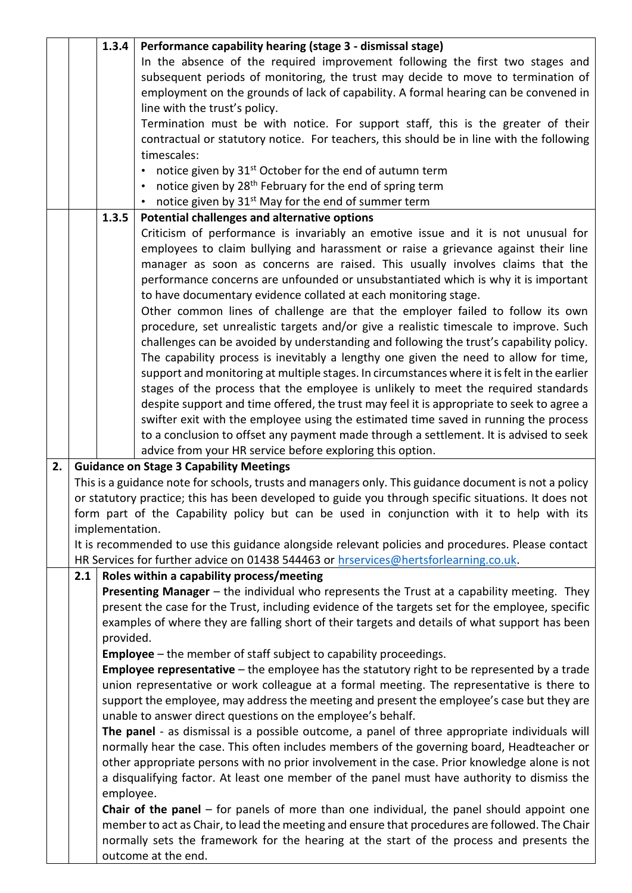|    |     | 1.3.4           | Performance capability hearing (stage 3 - dismissal stage)                                                                                                                        |
|----|-----|-----------------|-----------------------------------------------------------------------------------------------------------------------------------------------------------------------------------|
|    |     |                 | In the absence of the required improvement following the first two stages and                                                                                                     |
|    |     |                 | subsequent periods of monitoring, the trust may decide to move to termination of                                                                                                  |
|    |     |                 | employment on the grounds of lack of capability. A formal hearing can be convened in                                                                                              |
|    |     |                 | line with the trust's policy.                                                                                                                                                     |
|    |     |                 | Termination must be with notice. For support staff, this is the greater of their                                                                                                  |
|    |     |                 | contractual or statutory notice. For teachers, this should be in line with the following                                                                                          |
|    |     |                 | timescales:                                                                                                                                                                       |
|    |     |                 | notice given by 31 <sup>st</sup> October for the end of autumn term<br>$\bullet$                                                                                                  |
|    |     |                 | notice given by 28 <sup>th</sup> February for the end of spring term                                                                                                              |
|    |     |                 | • notice given by $31^{st}$ May for the end of summer term                                                                                                                        |
|    |     | 1.3.5           | Potential challenges and alternative options                                                                                                                                      |
|    |     |                 | Criticism of performance is invariably an emotive issue and it is not unusual for                                                                                                 |
|    |     |                 | employees to claim bullying and harassment or raise a grievance against their line                                                                                                |
|    |     |                 | manager as soon as concerns are raised. This usually involves claims that the                                                                                                     |
|    |     |                 | performance concerns are unfounded or unsubstantiated which is why it is important                                                                                                |
|    |     |                 | to have documentary evidence collated at each monitoring stage.                                                                                                                   |
|    |     |                 | Other common lines of challenge are that the employer failed to follow its own                                                                                                    |
|    |     |                 | procedure, set unrealistic targets and/or give a realistic timescale to improve. Such                                                                                             |
|    |     |                 | challenges can be avoided by understanding and following the trust's capability policy.                                                                                           |
|    |     |                 | The capability process is inevitably a lengthy one given the need to allow for time,                                                                                              |
|    |     |                 | support and monitoring at multiple stages. In circumstances where it is felt in the earlier<br>stages of the process that the employee is unlikely to meet the required standards |
|    |     |                 | despite support and time offered, the trust may feel it is appropriate to seek to agree a                                                                                         |
|    |     |                 | swifter exit with the employee using the estimated time saved in running the process                                                                                              |
|    |     |                 | to a conclusion to offset any payment made through a settlement. It is advised to seek                                                                                            |
|    |     |                 | advice from your HR service before exploring this option.                                                                                                                         |
| 2. |     |                 | <b>Guidance on Stage 3 Capability Meetings</b>                                                                                                                                    |
|    |     |                 | This is a guidance note for schools, trusts and managers only. This guidance document is not a policy                                                                             |
|    |     |                 | or statutory practice; this has been developed to guide you through specific situations. It does not                                                                              |
|    |     |                 | form part of the Capability policy but can be used in conjunction with it to help with its                                                                                        |
|    |     | implementation. |                                                                                                                                                                                   |
|    |     |                 | It is recommended to use this guidance alongside relevant policies and procedures. Please contact                                                                                 |
|    |     |                 | HR Services for further advice on 01438 544463 or hrservices@hertsforlearning.co.uk.                                                                                              |
|    | 2.1 |                 | Roles within a capability process/meeting                                                                                                                                         |
|    |     |                 | Presenting Manager - the individual who represents the Trust at a capability meeting. They                                                                                        |
|    |     |                 | present the case for the Trust, including evidence of the targets set for the employee, specific                                                                                  |
|    |     |                 | examples of where they are falling short of their targets and details of what support has been                                                                                    |
|    |     | provided.       |                                                                                                                                                                                   |
|    |     |                 | <b>Employee</b> – the member of staff subject to capability proceedings.                                                                                                          |
|    |     |                 | Employee representative - the employee has the statutory right to be represented by a trade                                                                                       |
|    |     |                 | union representative or work colleague at a formal meeting. The representative is there to                                                                                        |
|    |     |                 | support the employee, may address the meeting and present the employee's case but they are                                                                                        |
|    |     |                 | unable to answer direct questions on the employee's behalf.                                                                                                                       |
|    |     |                 | The panel - as dismissal is a possible outcome, a panel of three appropriate individuals will                                                                                     |
|    |     |                 | normally hear the case. This often includes members of the governing board, Headteacher or                                                                                        |
|    |     |                 | other appropriate persons with no prior involvement in the case. Prior knowledge alone is not                                                                                     |
|    |     |                 | a disqualifying factor. At least one member of the panel must have authority to dismiss the                                                                                       |
|    |     | employee.       |                                                                                                                                                                                   |
|    |     |                 | <b>Chair of the panel</b> $-$ for panels of more than one individual, the panel should appoint one                                                                                |
|    |     |                 | member to act as Chair, to lead the meeting and ensure that procedures are followed. The Chair                                                                                    |
|    |     |                 | normally sets the framework for the hearing at the start of the process and presents the<br>outcome at the end.                                                                   |
|    |     |                 |                                                                                                                                                                                   |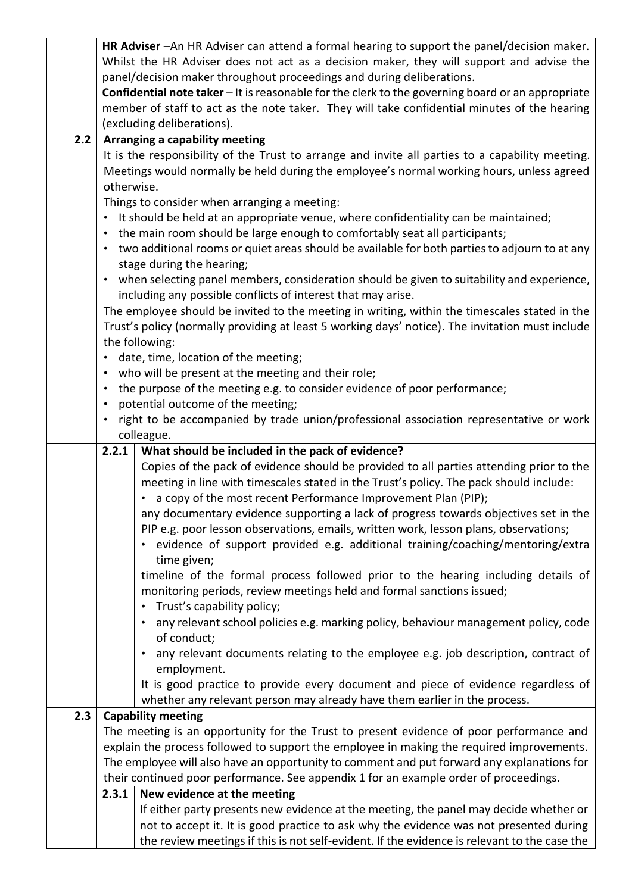|     |                                                                       | HR Adviser - An HR Adviser can attend a formal hearing to support the panel/decision maker.                                                                    |  |
|-----|-----------------------------------------------------------------------|----------------------------------------------------------------------------------------------------------------------------------------------------------------|--|
|     |                                                                       | Whilst the HR Adviser does not act as a decision maker, they will support and advise the                                                                       |  |
|     | panel/decision maker throughout proceedings and during deliberations. |                                                                                                                                                                |  |
|     |                                                                       | Confidential note taker - It is reasonable for the clerk to the governing board or an appropriate                                                              |  |
|     |                                                                       | member of staff to act as the note taker. They will take confidential minutes of the hearing                                                                   |  |
|     |                                                                       | (excluding deliberations).                                                                                                                                     |  |
| 2.2 |                                                                       | Arranging a capability meeting                                                                                                                                 |  |
|     |                                                                       | It is the responsibility of the Trust to arrange and invite all parties to a capability meeting.                                                               |  |
|     |                                                                       | Meetings would normally be held during the employee's normal working hours, unless agreed                                                                      |  |
|     | otherwise.                                                            |                                                                                                                                                                |  |
|     |                                                                       | Things to consider when arranging a meeting:                                                                                                                   |  |
|     |                                                                       | • It should be held at an appropriate venue, where confidentiality can be maintained;                                                                          |  |
|     | $\bullet$                                                             | the main room should be large enough to comfortably seat all participants;                                                                                     |  |
|     | $\bullet$                                                             | two additional rooms or quiet areas should be available for both parties to adjourn to at any                                                                  |  |
|     |                                                                       | stage during the hearing;                                                                                                                                      |  |
|     | $\bullet$                                                             | when selecting panel members, consideration should be given to suitability and experience,                                                                     |  |
|     |                                                                       | including any possible conflicts of interest that may arise.                                                                                                   |  |
|     |                                                                       | The employee should be invited to the meeting in writing, within the timescales stated in the                                                                  |  |
|     |                                                                       | Trust's policy (normally providing at least 5 working days' notice). The invitation must include                                                               |  |
|     |                                                                       | the following:                                                                                                                                                 |  |
|     | $\bullet$                                                             | date, time, location of the meeting;                                                                                                                           |  |
|     | $\bullet$                                                             | who will be present at the meeting and their role;                                                                                                             |  |
|     | $\bullet$                                                             | the purpose of the meeting e.g. to consider evidence of poor performance;                                                                                      |  |
|     | $\bullet$                                                             | potential outcome of the meeting;                                                                                                                              |  |
|     |                                                                       | right to be accompanied by trade union/professional association representative or work                                                                         |  |
|     | colleague.                                                            |                                                                                                                                                                |  |
|     |                                                                       |                                                                                                                                                                |  |
|     | 2.2.1                                                                 | What should be included in the pack of evidence?                                                                                                               |  |
|     |                                                                       | Copies of the pack of evidence should be provided to all parties attending prior to the                                                                        |  |
|     |                                                                       | meeting in line with timescales stated in the Trust's policy. The pack should include:                                                                         |  |
|     |                                                                       | a copy of the most recent Performance Improvement Plan (PIP);<br>٠                                                                                             |  |
|     |                                                                       | any documentary evidence supporting a lack of progress towards objectives set in the                                                                           |  |
|     |                                                                       | PIP e.g. poor lesson observations, emails, written work, lesson plans, observations;                                                                           |  |
|     |                                                                       | • evidence of support provided e.g. additional training/coaching/mentoring/extra                                                                               |  |
|     |                                                                       | time given;                                                                                                                                                    |  |
|     |                                                                       | timeline of the formal process followed prior to the hearing including details of                                                                              |  |
|     |                                                                       | monitoring periods, review meetings held and formal sanctions issued;                                                                                          |  |
|     |                                                                       | Trust's capability policy;<br>$\bullet$                                                                                                                        |  |
|     |                                                                       | any relevant school policies e.g. marking policy, behaviour management policy, code                                                                            |  |
|     |                                                                       | of conduct;<br>$\bullet$                                                                                                                                       |  |
|     |                                                                       | any relevant documents relating to the employee e.g. job description, contract of                                                                              |  |
|     |                                                                       | employment.                                                                                                                                                    |  |
|     |                                                                       | It is good practice to provide every document and piece of evidence regardless of<br>whether any relevant person may already have them earlier in the process. |  |
| 2.3 |                                                                       | <b>Capability meeting</b>                                                                                                                                      |  |
|     |                                                                       | The meeting is an opportunity for the Trust to present evidence of poor performance and                                                                        |  |
|     |                                                                       | explain the process followed to support the employee in making the required improvements.                                                                      |  |
|     |                                                                       | The employee will also have an opportunity to comment and put forward any explanations for                                                                     |  |
|     |                                                                       | their continued poor performance. See appendix 1 for an example order of proceedings.                                                                          |  |
|     | 2.3.1                                                                 | New evidence at the meeting                                                                                                                                    |  |
|     |                                                                       | If either party presents new evidence at the meeting, the panel may decide whether or                                                                          |  |
|     |                                                                       | not to accept it. It is good practice to ask why the evidence was not presented during                                                                         |  |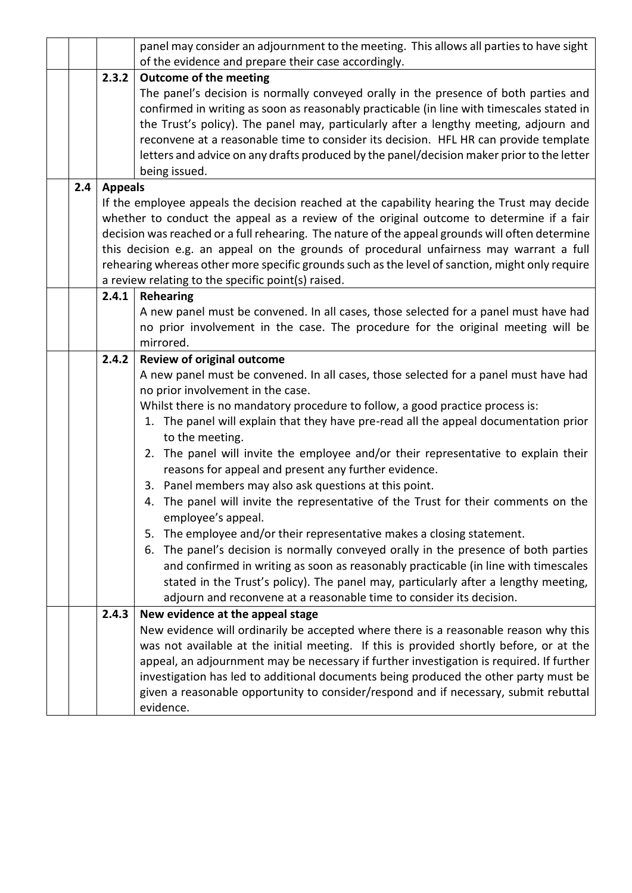|       | panel may consider an adjournment to the meeting. This allows all parties to have sight                                                                                                                                                                                                                                                                                                                                                                                                                           |
|-------|-------------------------------------------------------------------------------------------------------------------------------------------------------------------------------------------------------------------------------------------------------------------------------------------------------------------------------------------------------------------------------------------------------------------------------------------------------------------------------------------------------------------|
|       | of the evidence and prepare their case accordingly.                                                                                                                                                                                                                                                                                                                                                                                                                                                               |
|       | <b>Outcome of the meeting</b><br>The panel's decision is normally conveyed orally in the presence of both parties and<br>confirmed in writing as soon as reasonably practicable (in line with timescales stated in<br>the Trust's policy). The panel may, particularly after a lengthy meeting, adjourn and<br>reconvene at a reasonable time to consider its decision. HFL HR can provide template<br>letters and advice on any drafts produced by the panel/decision maker prior to the letter<br>being issued. |
|       |                                                                                                                                                                                                                                                                                                                                                                                                                                                                                                                   |
|       | If the employee appeals the decision reached at the capability hearing the Trust may decide                                                                                                                                                                                                                                                                                                                                                                                                                       |
|       | whether to conduct the appeal as a review of the original outcome to determine if a fair                                                                                                                                                                                                                                                                                                                                                                                                                          |
|       | decision was reached or a full rehearing. The nature of the appeal grounds will often determine<br>this decision e.g. an appeal on the grounds of procedural unfairness may warrant a full                                                                                                                                                                                                                                                                                                                        |
|       | rehearing whereas other more specific grounds such as the level of sanction, might only require                                                                                                                                                                                                                                                                                                                                                                                                                   |
|       | a review relating to the specific point(s) raised.                                                                                                                                                                                                                                                                                                                                                                                                                                                                |
| 2.4.1 | <b>Rehearing</b>                                                                                                                                                                                                                                                                                                                                                                                                                                                                                                  |
|       | A new panel must be convened. In all cases, those selected for a panel must have had                                                                                                                                                                                                                                                                                                                                                                                                                              |
|       | no prior involvement in the case. The procedure for the original meeting will be                                                                                                                                                                                                                                                                                                                                                                                                                                  |
|       | mirrored.                                                                                                                                                                                                                                                                                                                                                                                                                                                                                                         |
|       | <b>Review of original outcome</b>                                                                                                                                                                                                                                                                                                                                                                                                                                                                                 |
|       | A new panel must be convened. In all cases, those selected for a panel must have had<br>no prior involvement in the case.                                                                                                                                                                                                                                                                                                                                                                                         |
|       | Whilst there is no mandatory procedure to follow, a good practice process is:                                                                                                                                                                                                                                                                                                                                                                                                                                     |
|       | 1. The panel will explain that they have pre-read all the appeal documentation prior                                                                                                                                                                                                                                                                                                                                                                                                                              |
|       | to the meeting.<br>2. The panel will invite the employee and/or their representative to explain their                                                                                                                                                                                                                                                                                                                                                                                                             |
|       | reasons for appeal and present any further evidence.                                                                                                                                                                                                                                                                                                                                                                                                                                                              |
|       | 3. Panel members may also ask questions at this point.                                                                                                                                                                                                                                                                                                                                                                                                                                                            |
|       | 4. The panel will invite the representative of the Trust for their comments on the                                                                                                                                                                                                                                                                                                                                                                                                                                |
|       | employee's appeal.                                                                                                                                                                                                                                                                                                                                                                                                                                                                                                |
|       | The employee and/or their representative makes a closing statement.<br>5.                                                                                                                                                                                                                                                                                                                                                                                                                                         |
|       | The panel's decision is normally conveyed orally in the presence of both parties<br>6.                                                                                                                                                                                                                                                                                                                                                                                                                            |
|       | and confirmed in writing as soon as reasonably practicable (in line with timescales                                                                                                                                                                                                                                                                                                                                                                                                                               |
|       | stated in the Trust's policy). The panel may, particularly after a lengthy meeting,                                                                                                                                                                                                                                                                                                                                                                                                                               |
|       | adjourn and reconvene at a reasonable time to consider its decision.                                                                                                                                                                                                                                                                                                                                                                                                                                              |
| 2.4.3 | New evidence at the appeal stage                                                                                                                                                                                                                                                                                                                                                                                                                                                                                  |
|       | New evidence will ordinarily be accepted where there is a reasonable reason why this                                                                                                                                                                                                                                                                                                                                                                                                                              |
|       | was not available at the initial meeting. If this is provided shortly before, or at the                                                                                                                                                                                                                                                                                                                                                                                                                           |
|       | appeal, an adjournment may be necessary if further investigation is required. If further<br>investigation has led to additional documents being produced the other party must be                                                                                                                                                                                                                                                                                                                                  |
|       | given a reasonable opportunity to consider/respond and if necessary, submit rebuttal                                                                                                                                                                                                                                                                                                                                                                                                                              |
|       | evidence.                                                                                                                                                                                                                                                                                                                                                                                                                                                                                                         |
| 2.4   | 2.3.2<br><b>Appeals</b><br>2.4.2                                                                                                                                                                                                                                                                                                                                                                                                                                                                                  |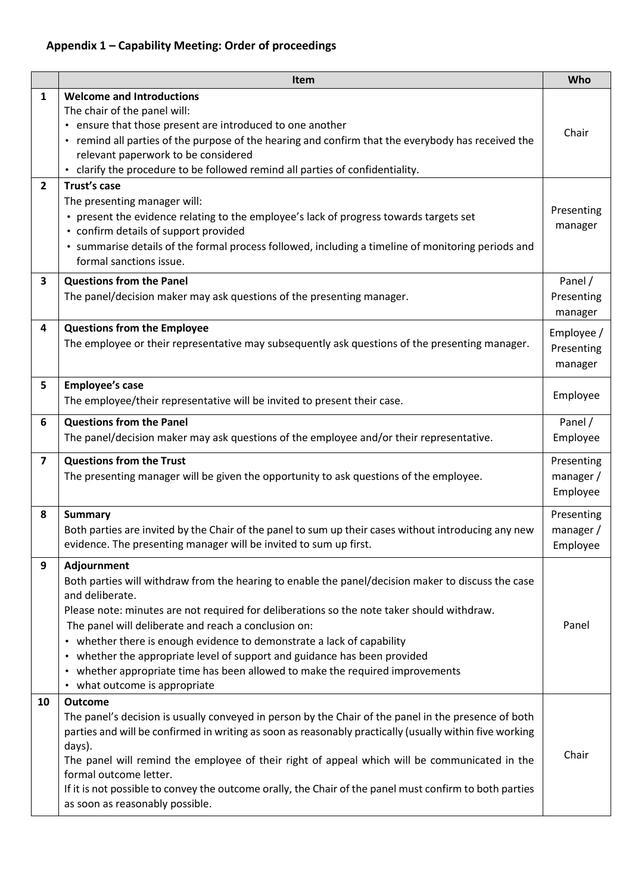### **Appendix 1 – Capability Meeting: Order of proceedings**

|                                | Item                                                                                                                                                                                                                                                                                                                                                                                                                                                                                                                                                                                                                                                                                       | Who                                 |
|--------------------------------|--------------------------------------------------------------------------------------------------------------------------------------------------------------------------------------------------------------------------------------------------------------------------------------------------------------------------------------------------------------------------------------------------------------------------------------------------------------------------------------------------------------------------------------------------------------------------------------------------------------------------------------------------------------------------------------------|-------------------------------------|
| $\mathbf{1}$<br>$\overline{2}$ | <b>Welcome and Introductions</b><br>The chair of the panel will:<br>• ensure that those present are introduced to one another<br>• remind all parties of the purpose of the hearing and confirm that the everybody has received the<br>relevant paperwork to be considered<br>clarify the procedure to be followed remind all parties of confidentiality.<br>$\bullet$<br>Trust's case<br>The presenting manager will:<br>• present the evidence relating to the employee's lack of progress towards targets set<br>• confirm details of support provided<br>• summarise details of the formal process followed, including a timeline of monitoring periods and<br>formal sanctions issue. | Chair<br>Presenting<br>manager      |
| 3                              | <b>Questions from the Panel</b>                                                                                                                                                                                                                                                                                                                                                                                                                                                                                                                                                                                                                                                            | Panel /                             |
|                                | The panel/decision maker may ask questions of the presenting manager.                                                                                                                                                                                                                                                                                                                                                                                                                                                                                                                                                                                                                      | Presenting<br>manager               |
| 4                              | <b>Questions from the Employee</b><br>The employee or their representative may subsequently ask questions of the presenting manager.                                                                                                                                                                                                                                                                                                                                                                                                                                                                                                                                                       | Employee /<br>Presenting<br>manager |
| 5                              | <b>Employee's case</b><br>The employee/their representative will be invited to present their case.                                                                                                                                                                                                                                                                                                                                                                                                                                                                                                                                                                                         | Employee                            |
| 6                              | <b>Questions from the Panel</b><br>The panel/decision maker may ask questions of the employee and/or their representative.                                                                                                                                                                                                                                                                                                                                                                                                                                                                                                                                                                 | Panel /<br>Employee                 |
| $\overline{\mathbf{z}}$        | <b>Questions from the Trust</b><br>The presenting manager will be given the opportunity to ask questions of the employee.                                                                                                                                                                                                                                                                                                                                                                                                                                                                                                                                                                  | Presenting<br>manager /<br>Employee |
| 8                              | <b>Summary</b><br>Both parties are invited by the Chair of the panel to sum up their cases without introducing any new<br>evidence. The presenting manager will be invited to sum up first.                                                                                                                                                                                                                                                                                                                                                                                                                                                                                                | Presenting<br>manager /<br>Employee |
| 9                              | Adjournment<br>Both parties will withdraw from the hearing to enable the panel/decision maker to discuss the case<br>and deliberate.<br>Please note: minutes are not required for deliberations so the note taker should withdraw.<br>The panel will deliberate and reach a conclusion on:<br>• whether there is enough evidence to demonstrate a lack of capability<br>whether the appropriate level of support and guidance has been provided<br>$\bullet$<br>• whether appropriate time has been allowed to make the required improvements<br>• what outcome is appropriate                                                                                                             | Panel                               |
| 10                             | <b>Outcome</b><br>The panel's decision is usually conveyed in person by the Chair of the panel in the presence of both<br>parties and will be confirmed in writing as soon as reasonably practically (usually within five working<br>days).<br>The panel will remind the employee of their right of appeal which will be communicated in the<br>formal outcome letter.<br>If it is not possible to convey the outcome orally, the Chair of the panel must confirm to both parties<br>as soon as reasonably possible.                                                                                                                                                                       | Chair                               |